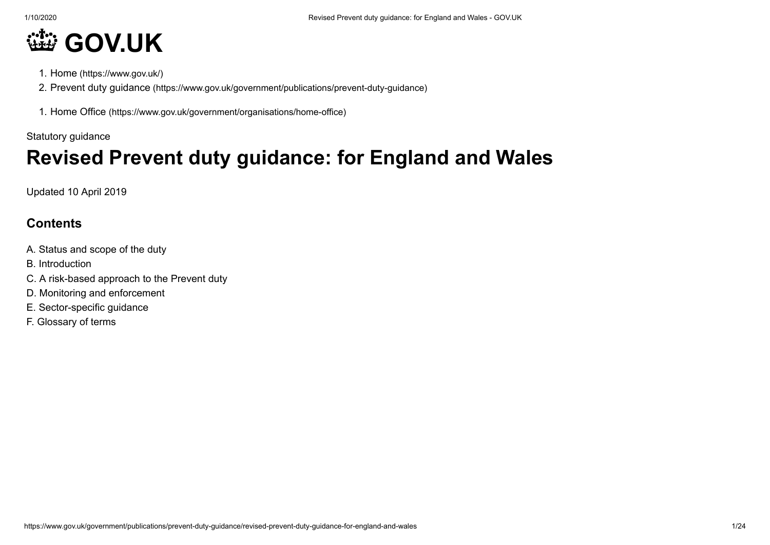# **[GOV.UK](https://www.gov.uk/)**

- 1. Home [\(https://www.gov.uk/\)](https://www.gov.uk/)
- 2. Prevent duty guidance [\(https://www.gov.uk/government/publications/prevent-duty-guidance\)](https://www.gov.uk/government/publications/prevent-duty-guidance)
- 1. Home Office [\(https://www.gov.uk/government/organisations/home-office\)](https://www.gov.uk/government/organisations/home-office)

Statutory guidance

# **Revised Prevent duty guidance: for England and Wales**

Updated 10 April 2019

# **Contents**

- A. Status and scope of the duty
- B. Introduction
- C. A risk-based approach to the Prevent duty
- D. Monitoring and enforcement
- E. Sector-specific guidance
- F. Glossary of terms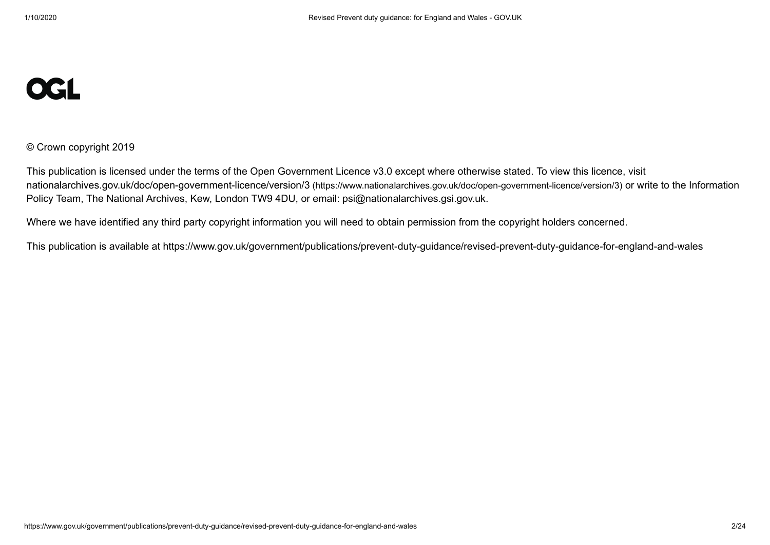# **OGL**

© Crown copyright 2019

This publication is licensed under the terms of the Open Government Licence v3.0 except where otherwise stated. To view this licence, visit nationalarchives.gov.uk/doc/open-government-licence/version/3 [\(https://www.nationalarchives.gov.uk/doc/open-government-licence/version/3\)](https://www.nationalarchives.gov.uk/doc/open-government-licence/version/3) or write to the Information Policy Team, The National Archives, Kew, London TW9 4DU, or email: [psi@nationalarchives.gsi.gov.uk.](mailto:psi@nationalarchives.gsi.gov.uk)

Where we have identified any third party copyright information you will need to obtain permission from the copyright holders concerned.

This publication is available at https://www.gov.uk/government/publications/prevent-duty-guidance/revised-prevent-duty-guidance-for-england-and-wales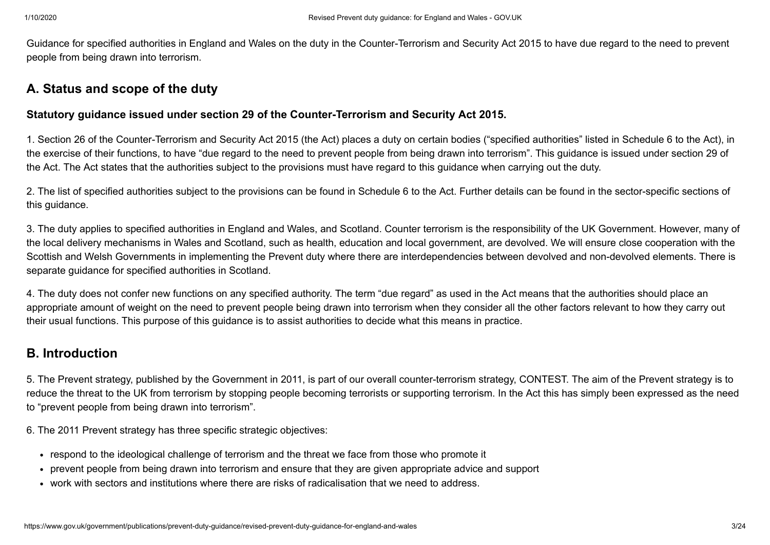Guidance for specified authorities in England and Wales on the duty in the Counter-Terrorism and Security Act 2015 to have due regard to the need to prevent people from being drawn into terrorism.

# **A. Status and scope of the duty**

# **Statutory guidance issued under section 29 of the Counter-Terrorism and Security Act 2015.**

1. Section 26 of the Counter-Terrorism and Security Act 2015 (the Act) places a duty on certain bodies ("specified authorities" listed in Schedule 6 to the Act), in the exercise of their functions, to have "due regard to the need to prevent people from being drawn into terrorism". This guidance is issued under section 29 of the Act. The Act states that the authorities subject to the provisions must have regard to this guidance when carrying out the duty.

2. The list of specified authorities subject to the provisions can be found in Schedule 6 to the Act. Further details can be found in the sector-specific sections of this guidance.

3. The duty applies to specified authorities in England and Wales, and Scotland. Counter terrorism is the responsibility of the UK Government. However, many of the local delivery mechanisms in Wales and Scotland, such as health, education and local government, are devolved. We will ensure close cooperation with the Scottish and Welsh Governments in implementing the Prevent duty where there are interdependencies between devolved and non-devolved elements. There is separate guidance for specified authorities in Scotland.

4. The duty does not confer new functions on any specified authority. The term "due regard" as used in the Act means that the authorities should place an appropriate amount of weight on the need to prevent people being drawn into terrorism when they consider all the other factors relevant to how they carry out their usual functions. This purpose of this guidance is to assist authorities to decide what this means in practice.

# **B. Introduction**

5. The Prevent strategy, published by the Government in 2011, is part of our overall counter-terrorism strategy, CONTEST. The aim of the Prevent strategy is to reduce the threat to the UK from terrorism by stopping people becoming terrorists or supporting terrorism. In the Act this has simply been expressed as the need to "prevent people from being drawn into terrorism".

6. The 2011 Prevent strategy has three specific strategic objectives:

- respond to the ideological challenge of terrorism and the threat we face from those who promote it
- prevent people from being drawn into terrorism and ensure that they are given appropriate advice and support
- work with sectors and institutions where there are risks of radicalisation that we need to address.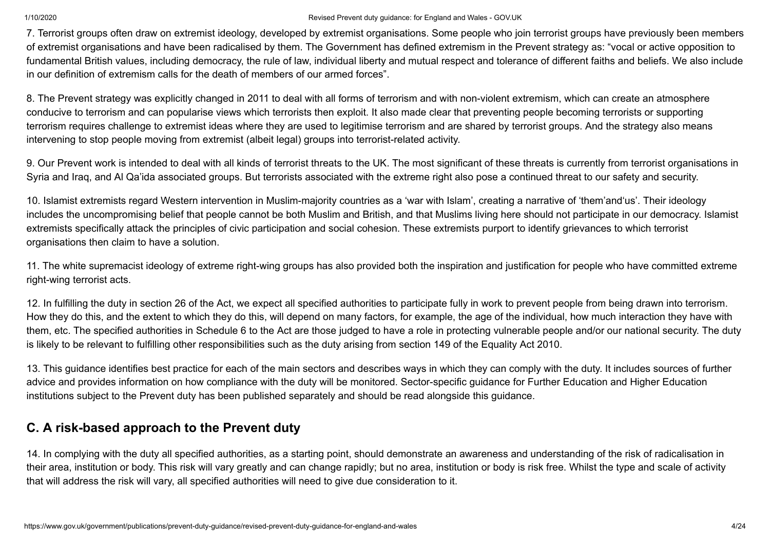7. Terrorist groups often draw on extremist ideology, developed by extremist organisations. Some people who join terrorist groups have previously been members of extremist organisations and have been radicalised by them. The Government has defined extremism in the Prevent strategy as: "vocal or active opposition to fundamental British values, including democracy, the rule of law, individual liberty and mutual respect and tolerance of different faiths and beliefs. We also include in our definition of extremism calls for the death of members of our armed forces".

8. The Prevent strategy was explicitly changed in 2011 to deal with all forms of terrorism and with non-violent extremism, which can create an atmosphere conducive to terrorism and can popularise views which terrorists then exploit. It also made clear that preventing people becoming terrorists or supporting terrorism requires challenge to extremist ideas where they are used to legitimise terrorism and are shared by terrorist groups. And the strategy also means intervening to stop people moving from extremist (albeit legal) groups into terrorist-related activity.

9. Our Prevent work is intended to deal with all kinds of terrorist threats to the UK. The most significant of these threats is currently from terrorist organisations in Syria and Iraq, and Al Qa'ida associated groups. But terrorists associated with the extreme right also pose a continued threat to our safety and security.

10. Islamist extremists regard Western intervention in Muslim-majority countries as a 'war with Islam', creating a narrative of 'them'and'us'. Their ideology includes the uncompromising belief that people cannot be both Muslim and British, and that Muslims living here should not participate in our democracy. Islamist extremists specifically attack the principles of civic participation and social cohesion. These extremists purport to identify grievances to which terrorist organisations then claim to have a solution.

11. The white supremacist ideology of extreme right-wing groups has also provided both the inspiration and justification for people who have committed extreme right-wing terrorist acts.

12. In fulfilling the duty in section 26 of the Act, we expect all specified authorities to participate fully in work to prevent people from being drawn into terrorism. How they do this, and the extent to which they do this, will depend on many factors, for example, the age of the individual, how much interaction they have with them, etc. The specified authorities in Schedule 6 to the Act are those judged to have a role in protecting vulnerable people and/or our national security. The duty is likely to be relevant to fulfilling other responsibilities such as the duty arising from section 149 of the Equality Act 2010.

13. This guidance identifies best practice for each of the main sectors and describes ways in which they can comply with the duty. It includes sources of further advice and provides information on how compliance with the duty will be monitored. Sector-specific guidance for Further Education and Higher Education institutions subject to the Prevent duty has been published separately and should be read alongside this guidance.

# **C. A risk-based approach to the Prevent duty**

14. In complying with the duty all specified authorities, as a starting point, should demonstrate an awareness and understanding of the risk of radicalisation in their area, institution or body. This risk will vary greatly and can change rapidly; but no area, institution or body is risk free. Whilst the type and scale of activity that will address the risk will vary, all specified authorities will need to give due consideration to it.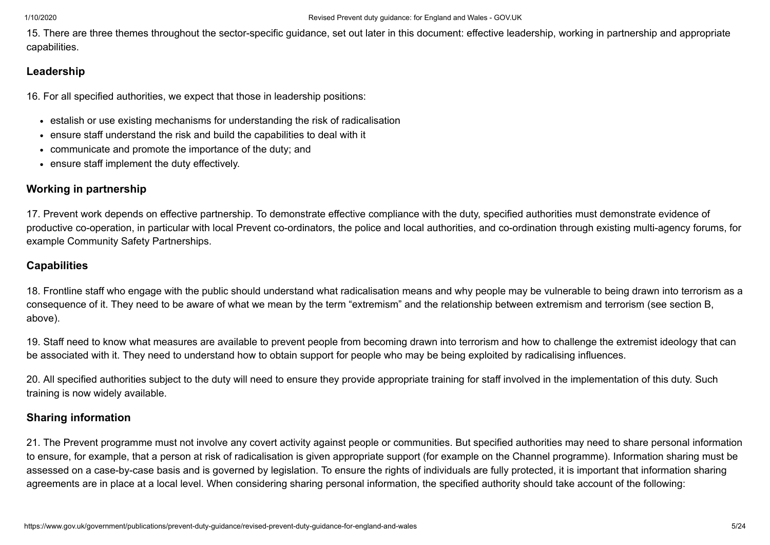15. There are three themes throughout the sector-specific guidance, set out later in this document: effective leadership, working in partnership and appropriate capabilities.

# **Leadership**

16. For all specified authorities, we expect that those in leadership positions:

- estalish or use existing mechanisms for understanding the risk of radicalisation
- ensure staff understand the risk and build the capabilities to deal with it
- communicate and promote the importance of the duty; and
- ensure staff implement the duty effectively.

# **Working in partnership**

17. Prevent work depends on effective partnership. To demonstrate effective compliance with the duty, specified authorities must demonstrate evidence of productive co-operation, in particular with local Prevent co-ordinators, the police and local authorities, and co-ordination through existing multi-agency forums, for example Community Safety Partnerships.

# **Capabilities**

18. Frontline staff who engage with the public should understand what radicalisation means and why people may be vulnerable to being drawn into terrorism as a consequence of it. They need to be aware of what we mean by the term "extremism" and the relationship between extremism and terrorism (see section B, above).

19. Staff need to know what measures are available to prevent people from becoming drawn into terrorism and how to challenge the extremist ideology that can be associated with it. They need to understand how to obtain support for people who may be being exploited by radicalising influences.

20. All specified authorities subject to the duty will need to ensure they provide appropriate training for staff involved in the implementation of this duty. Such training is now widely available.

# **Sharing information**

21. The Prevent programme must not involve any covert activity against people or communities. But specified authorities may need to share personal information to ensure, for example, that a person at risk of radicalisation is given appropriate support (for example on the Channel programme). Information sharing must be assessed on a case-by-case basis and is governed by legislation. To ensure the rights of individuals are fully protected, it is important that information sharing agreements are in place at a local level. When considering sharing personal information, the specified authority should take account of the following: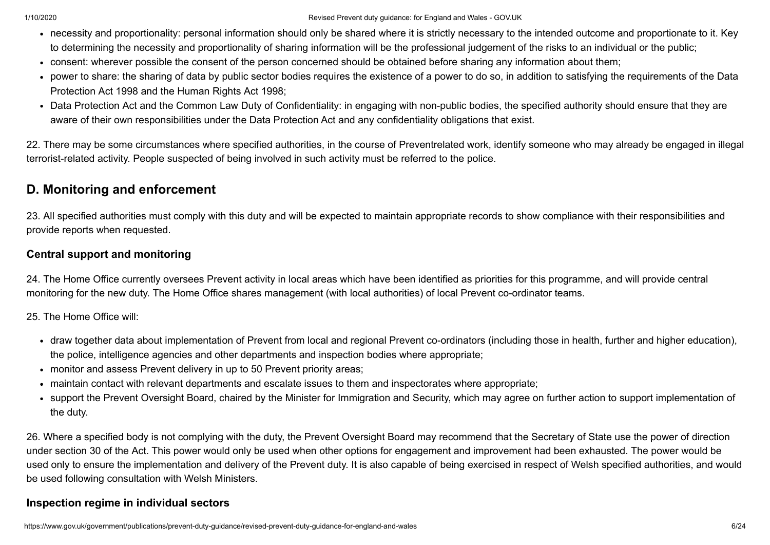- necessity and proportionality: personal information should only be shared where it is strictly necessary to the intended outcome and proportionate to it. Key to determining the necessity and proportionality of sharing information will be the professional judgement of the risks to an individual or the public;
- consent: wherever possible the consent of the person concerned should be obtained before sharing any information about them;
- power to share: the sharing of data by public sector bodies requires the existence of a power to do so, in addition to satisfying the requirements of the Data Protection Act 1998 and the Human Rights Act 1998;
- Data Protection Act and the Common Law Duty of Confidentiality: in engaging with non-public bodies, the specified authority should ensure that they are aware of their own responsibilities under the Data Protection Act and any confidentiality obligations that exist.

22. There may be some circumstances where specified authorities, in the course of Preventrelated work, identify someone who may already be engaged in illegal terrorist-related activity. People suspected of being involved in such activity must be referred to the police.

# **D. Monitoring and enforcement**

23. All specified authorities must comply with this duty and will be expected to maintain appropriate records to show compliance with their responsibilities and provide reports when requested.

# **Central support and monitoring**

24. The Home Office currently oversees Prevent activity in local areas which have been identified as priorities for this programme, and will provide central monitoring for the new duty. The Home Office shares management (with local authorities) of local Prevent co-ordinator teams.

25. The Home Office will:

- draw together data about implementation of Prevent from local and regional Prevent co-ordinators (including those in health, further and higher education), the police, intelligence agencies and other departments and inspection bodies where appropriate;
- monitor and assess Prevent delivery in up to 50 Prevent priority areas;
- maintain contact with relevant departments and escalate issues to them and inspectorates where appropriate;
- support the Prevent Oversight Board, chaired by the Minister for Immigration and Security, which may agree on further action to support implementation of the duty.

26. Where a specified body is not complying with the duty, the Prevent Oversight Board may recommend that the Secretary of State use the power of direction under section 30 of the Act. This power would only be used when other options for engagement and improvement had been exhausted. The power would be used only to ensure the implementation and delivery of the Prevent duty. It is also capable of being exercised in respect of Welsh specified authorities, and would be used following consultation with Welsh Ministers.

# **Inspection regime in individual sectors**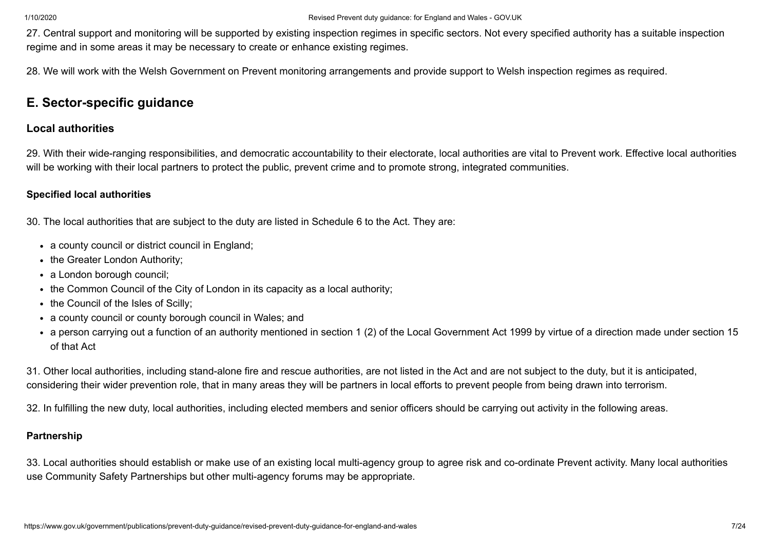27. Central support and monitoring will be supported by existing inspection regimes in specific sectors. Not every specified authority has a suitable inspection regime and in some areas it may be necessary to create or enhance existing regimes.

28. We will work with the Welsh Government on Prevent monitoring arrangements and provide support to Welsh inspection regimes as required.

# **E. Sector-specific guidance**

# **Local authorities**

29. With their wide-ranging responsibilities, and democratic accountability to their electorate, local authorities are vital to Prevent work. Effective local authorities will be working with their local partners to protect the public, prevent crime and to promote strong, integrated communities.

#### **Specified local authorities**

30. The local authorities that are subject to the duty are listed in Schedule 6 to the Act. They are:

- a county council or district council in England;
- the Greater London Authority;
- a London borough council;
- the Common Council of the City of London in its capacity as a local authority;
- the Council of the Isles of Scilly;
- a county council or county borough council in Wales; and
- a person carrying out a function of an authority mentioned in section 1 (2) of the Local Government Act 1999 by virtue of a direction made under section 15 of that Act

31. Other local authorities, including stand-alone fire and rescue authorities, are not listed in the Act and are not subject to the duty, but it is anticipated, considering their wider prevention role, that in many areas they will be partners in local efforts to prevent people from being drawn into terrorism.

32. In fulfilling the new duty, local authorities, including elected members and senior officers should be carrying out activity in the following areas.

#### **Partnership**

33. Local authorities should establish or make use of an existing local multi-agency group to agree risk and co-ordinate Prevent activity. Many local authorities use Community Safety Partnerships but other multi-agency forums may be appropriate.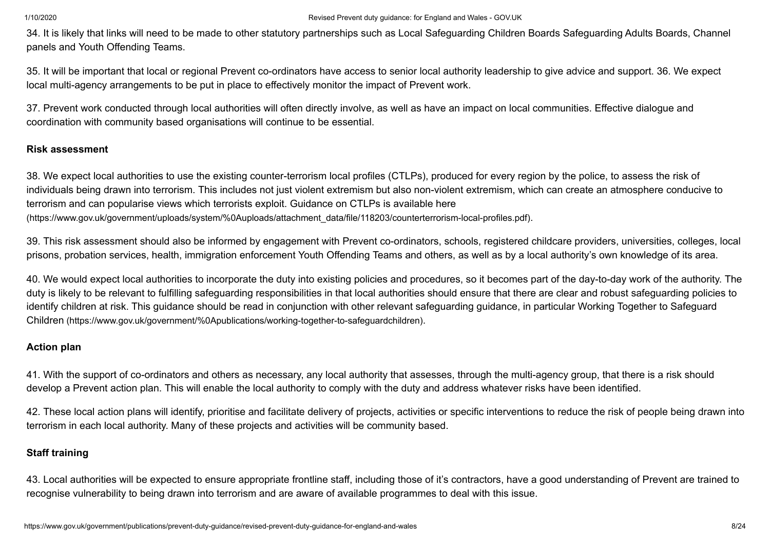34. It is likely that links will need to be made to other statutory partnerships such as Local Safeguarding Children Boards Safeguarding Adults Boards, Channel panels and Youth Offending Teams.

35. It will be important that local or regional Prevent co-ordinators have access to senior local authority leadership to give advice and support. 36. We expect local multi-agency arrangements to be put in place to effectively monitor the impact of Prevent work.

37. Prevent work conducted through local authorities will often directly involve, as well as have an impact on local communities. Effective dialogue and coordination with community based organisations will continue to be essential.

# **Risk assessment**

38. We expect local authorities to use the existing counter-terrorism local profiles (CTLPs), produced for every region by the police, to assess the risk of individuals being drawn into terrorism. This includes not just violent extremism but also non-violent extremism, which can create an atmosphere conducive to terrorism and can popularise views which terrorists exploit. Guidance on CTLPs is available here [\(https://www.gov.uk/government/uploads/system/%0Auploads/attachment\\_data/file/118203/counterterrorism-local-profiles.pdf\)](https://www.gov.uk/government/uploads/system/%0Auploads/attachment_data/file/118203/counterterrorism-local-profiles.pdf).

39. This risk assessment should also be informed by engagement with Prevent co-ordinators, schools, registered childcare providers, universities, colleges, local prisons, probation services, health, immigration enforcement Youth Offending Teams and others, as well as by a local authority's own knowledge of its area.

40. We would expect local authorities to incorporate the duty into existing policies and procedures, so it becomes part of the day-to-day work of the authority. The duty is likely to be relevant to fulfilling safeguarding responsibilities in that local authorities should ensure that there are clear and robust safeguarding policies to identify children at risk. This guidance should be read in conjunction with other relevant safeguarding guidance, in particular Working Together to Safeguard Children [\(https://www.gov.uk/government/%0Apublications/working-together-to-safeguardchildren\)](https://www.gov.uk/government/%0Apublications/working-together-to-safeguardchildren).

#### **Action plan**

41. With the support of co-ordinators and others as necessary, any local authority that assesses, through the multi-agency group, that there is a risk should develop a Prevent action plan. This will enable the local authority to comply with the duty and address whatever risks have been identified.

42. These local action plans will identify, prioritise and facilitate delivery of projects, activities or specific interventions to reduce the risk of people being drawn into terrorism in each local authority. Many of these projects and activities will be community based.

# **Staff training**

43. Local authorities will be expected to ensure appropriate frontline staff, including those of it's contractors, have a good understanding of Prevent are trained to recognise vulnerability to being drawn into terrorism and are aware of available programmes to deal with this issue.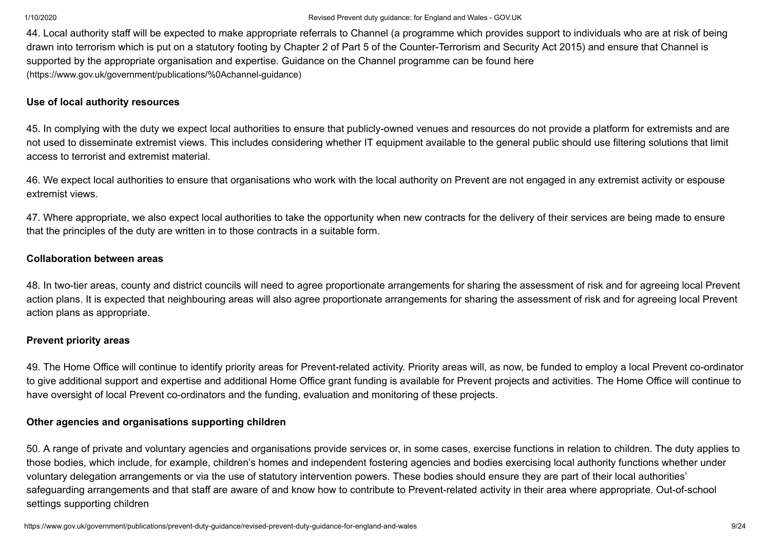44. Local authority staff will be expected to make appropriate referrals to Channel (a programme which provides support to individuals who are at risk of being drawn into terrorism which is put on a statutory footing by Chapter 2 of Part 5 of the Counter-Terrorism and Security Act 2015) and ensure that Channel is supported by the appropriate organisation and expertise. Guidance on the Channel programme can be found here [\(https://www.gov.uk/government/publications/%0Achannel-guidance\)](https://www.gov.uk/government/publications/%0Achannel-guidance)

#### **Use of local authority resources**

45. In complying with the duty we expect local authorities to ensure that publicly-owned venues and resources do not provide a platform for extremists and are not used to disseminate extremist views. This includes considering whether IT equipment available to the general public should use filtering solutions that limit access to terrorist and extremist material.

46. We expect local authorities to ensure that organisations who work with the local authority on Prevent are not engaged in any extremist activity or espouse extremist views.

47. Where appropriate, we also expect local authorities to take the opportunity when new contracts for the delivery of their services are being made to ensure that the principles of the duty are written in to those contracts in a suitable form.

#### **Collaboration between areas**

48. In two-tier areas, county and district councils will need to agree proportionate arrangements for sharing the assessment of risk and for agreeing local Prevent action plans. It is expected that neighbouring areas will also agree proportionate arrangements for sharing the assessment of risk and for agreeing local Prevent action plans as appropriate.

#### **Prevent priority areas**

49. The Home Office will continue to identify priority areas for Prevent-related activity. Priority areas will, as now, be funded to employ a local Prevent co-ordinator to give additional support and expertise and additional Home Office grant funding is available for Prevent projects and activities. The Home Office will continue to have oversight of local Prevent co-ordinators and the funding, evaluation and monitoring of these projects.

#### **Other agencies and organisations supporting children**

50. A range of private and voluntary agencies and organisations provide services or, in some cases, exercise functions in relation to children. The duty applies to those bodies, which include, for example, children's homes and independent fostering agencies and bodies exercising local authority functions whether under voluntary delegation arrangements or via the use of statutory intervention powers. These bodies should ensure they are part of their local authorities' safeguarding arrangements and that staff are aware of and know how to contribute to Prevent-related activity in their area where appropriate. Out-of-school settings supporting children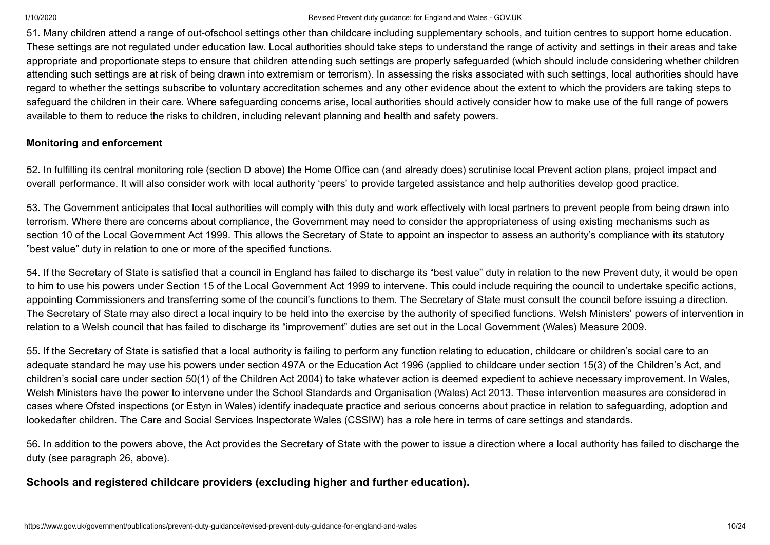51. Many children attend a range of out-ofschool settings other than childcare including supplementary schools, and tuition centres to support home education. These settings are not regulated under education law. Local authorities should take steps to understand the range of activity and settings in their areas and take appropriate and proportionate steps to ensure that children attending such settings are properly safeguarded (which should include considering whether children attending such settings are at risk of being drawn into extremism or terrorism). In assessing the risks associated with such settings, local authorities should have regard to whether the settings subscribe to voluntary accreditation schemes and any other evidence about the extent to which the providers are taking steps to safeguard the children in their care. Where safeguarding concerns arise, local authorities should actively consider how to make use of the full range of powers available to them to reduce the risks to children, including relevant planning and health and safety powers.

#### **Monitoring and enforcement**

52. In fulfilling its central monitoring role (section D above) the Home Office can (and already does) scrutinise local Prevent action plans, project impact and overall performance. It will also consider work with local authority 'peers' to provide targeted assistance and help authorities develop good practice.

53. The Government anticipates that local authorities will comply with this duty and work effectively with local partners to prevent people from being drawn into terrorism. Where there are concerns about compliance, the Government may need to consider the appropriateness of using existing mechanisms such as section 10 of the Local Government Act 1999. This allows the Secretary of State to appoint an inspector to assess an authority's compliance with its statutory "best value" duty in relation to one or more of the specified functions.

54. If the Secretary of State is satisfied that a council in England has failed to discharge its "best value" duty in relation to the new Prevent duty, it would be open to him to use his powers under Section 15 of the Local Government Act 1999 to intervene. This could include requiring the council to undertake specific actions, appointing Commissioners and transferring some of the council's functions to them. The Secretary of State must consult the council before issuing a direction. The Secretary of State may also direct a local inquiry to be held into the exercise by the authority of specified functions. Welsh Ministers' powers of intervention in relation to a Welsh council that has failed to discharge its "improvement" duties are set out in the Local Government (Wales) Measure 2009.

55. If the Secretary of State is satisfied that a local authority is failing to perform any function relating to education, childcare or children's social care to an adequate standard he may use his powers under section 497A or the Education Act 1996 (applied to childcare under section 15(3) of the Children's Act, and children's social care under section 50(1) of the Children Act 2004) to take whatever action is deemed expedient to achieve necessary improvement. In Wales, Welsh Ministers have the power to intervene under the School Standards and Organisation (Wales) Act 2013. These intervention measures are considered in cases where Ofsted inspections (or Estyn in Wales) identify inadequate practice and serious concerns about practice in relation to safeguarding, adoption and lookedafter children. The Care and Social Services Inspectorate Wales (CSSIW) has a role here in terms of care settings and standards.

56. In addition to the powers above, the Act provides the Secretary of State with the power to issue a direction where a local authority has failed to discharge the duty (see paragraph 26, above).

# **Schools and registered childcare providers (excluding higher and further education).**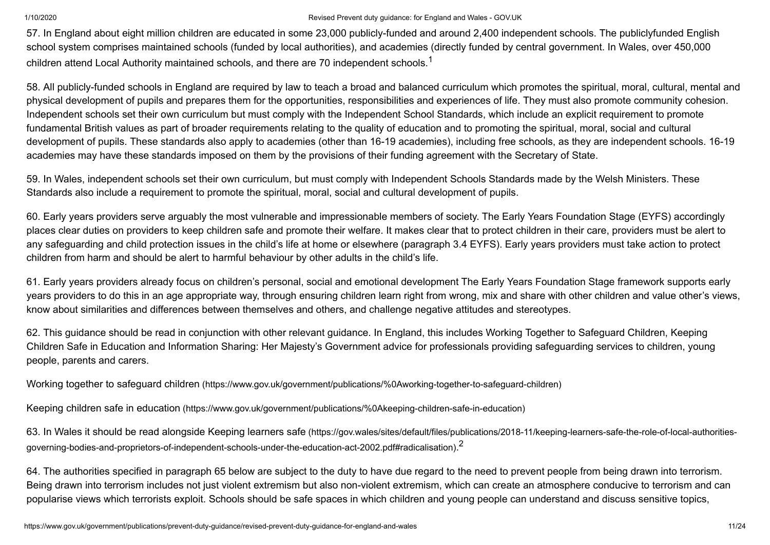<span id="page-10-0"></span>57. In England about eight million children are educated in some 23,000 publicly-funded and around 2,400 independent schools. The publiclyfunded English school system comprises maintained schools (funded by local authorities), and academies (directly funded by central government. In Wales, over 450,000 children attend Local Authority maintained schools, and there are 70 independent schools. $^{\mathsf{1}}$  $^{\mathsf{1}}$  $^{\mathsf{1}}$ 

58. All publicly-funded schools in England are required by law to teach a broad and balanced curriculum which promotes the spiritual, moral, cultural, mental and physical development of pupils and prepares them for the opportunities, responsibilities and experiences of life. They must also promote community cohesion. Independent schools set their own curriculum but must comply with the Independent School Standards, which include an explicit requirement to promote fundamental British values as part of broader requirements relating to the quality of education and to promoting the spiritual, moral, social and cultural development of pupils. These standards also apply to academies (other than 16-19 academies), including free schools, as they are independent schools. 16-19 academies may have these standards imposed on them by the provisions of their funding agreement with the Secretary of State.

59. In Wales, independent schools set their own curriculum, but must comply with Independent Schools Standards made by the Welsh Ministers. These Standards also include a requirement to promote the spiritual, moral, social and cultural development of pupils.

60. Early years providers serve arguably the most vulnerable and impressionable members of society. The Early Years Foundation Stage (EYFS) accordingly places clear duties on providers to keep children safe and promote their welfare. It makes clear that to protect children in their care, providers must be alert to any safeguarding and child protection issues in the child's life at home or elsewhere (paragraph 3.4 EYFS). Early years providers must take action to protect children from harm and should be alert to harmful behaviour by other adults in the child's life.

61. Early years providers already focus on children's personal, social and emotional development The Early Years Foundation Stage framework supports early years providers to do this in an age appropriate way, through ensuring children learn right from wrong, mix and share with other children and value other's views, know about similarities and differences between themselves and others, and challenge negative attitudes and stereotypes.

62. This guidance should be read in conjunction with other relevant guidance. In England, this includes Working Together to Safeguard Children, Keeping Children Safe in Education and Information Sharing: Her Majesty's Government advice for professionals providing safeguarding services to children, young people, parents and carers.

Working together to safeguard children [\(https://www.gov.uk/government/publications/%0Aworking-together-to-safeguard-children\)](https://www.gov.uk/government/publications/%0Aworking-together-to-safeguard-children)

Keeping children safe in education [\(https://www.gov.uk/government/publications/%0Akeeping-children-safe-in-education\)](https://www.gov.uk/government/publications/%0Akeeping-children-safe-in-education)

<span id="page-10-1"></span>63. In Wales it should be read alongside Keeping learners safe (https://gov.wales/sites/default/files/publications/2018-11/keeping-learners-safe-the-role-of-local-authorities[governing-bodies-and-proprietors-of-independent-schools-under-the-education-act-2002.pdf#radicalisation\)](https://gov.wales/sites/default/files/publications/2018-11/keeping-learners-safe-the-role-of-local-authorities-governing-bodies-and-proprietors-of-independent-schools-under-the-education-act-2002.pdf#radicalisation). $^{\text{2}}$  $^{\text{2}}$  $^{\text{2}}$ 

64. The authorities specified in paragraph 65 below are subject to the duty to have due regard to the need to prevent people from being drawn into terrorism. Being drawn into terrorism includes not just violent extremism but also non-violent extremism, which can create an atmosphere conducive to terrorism and can popularise views which terrorists exploit. Schools should be safe spaces in which children and young people can understand and discuss sensitive topics,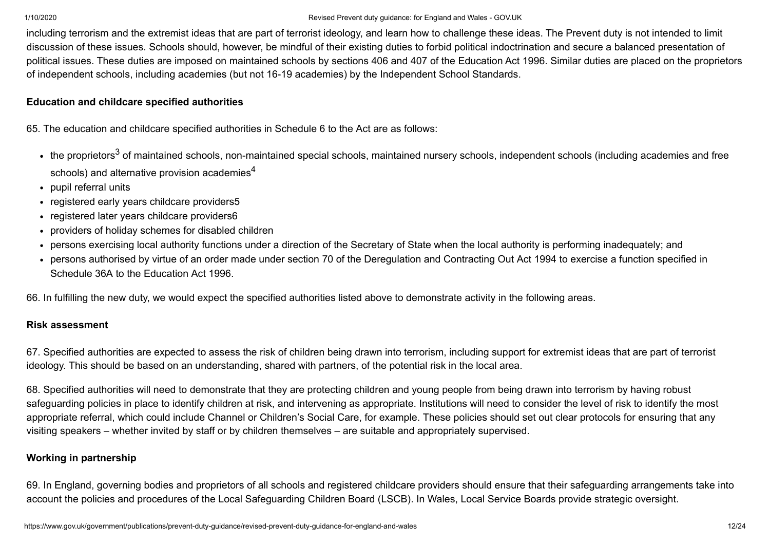including terrorism and the extremist ideas that are part of terrorist ideology, and learn how to challenge these ideas. The Prevent duty is not intended to limit discussion of these issues. Schools should, however, be mindful of their existing duties to forbid political indoctrination and secure a balanced presentation of political issues. These duties are imposed on maintained schools by sections 406 and 407 of the Education Act 1996. Similar duties are placed on the proprietors of independent schools, including academies (but not 16-19 academies) by the Independent School Standards.

# **Education and childcare specified authorities**

65. The education and childcare specified authorities in Schedule 6 to the Act are as follows:

- <span id="page-11-1"></span><span id="page-11-0"></span>the proprietors<sup>[3](#page-23-1)</sup> of maintained schools, non-maintained special schools, maintained nursery schools, independent schools (including academies and free schools) and alternative provision academies $^{\mathsf{4}}$  $^{\mathsf{4}}$  $^{\mathsf{4}}$
- pupil referral units
- registered early years childcare providers5
- registered later years childcare providers6
- providers of holiday schemes for disabled children
- persons exercising local authority functions under a direction of the Secretary of State when the local authority is performing inadequately; and
- persons authorised by virtue of an order made under section 70 of the Deregulation and Contracting Out Act 1994 to exercise a function specified in Schedule 36A to the Education Act 1996.

66. In fulfilling the new duty, we would expect the specified authorities listed above to demonstrate activity in the following areas.

# **Risk assessment**

67. Specified authorities are expected to assess the risk of children being drawn into terrorism, including support for extremist ideas that are part of terrorist ideology. This should be based on an understanding, shared with partners, of the potential risk in the local area.

68. Specified authorities will need to demonstrate that they are protecting children and young people from being drawn into terrorism by having robust safeguarding policies in place to identify children at risk, and intervening as appropriate. Institutions will need to consider the level of risk to identify the most appropriate referral, which could include Channel or Children's Social Care, for example. These policies should set out clear protocols for ensuring that any visiting speakers – whether invited by staff or by children themselves – are suitable and appropriately supervised.

# **Working in partnership**

69. In England, governing bodies and proprietors of all schools and registered childcare providers should ensure that their safeguarding arrangements take into account the policies and procedures of the Local Safeguarding Children Board (LSCB). In Wales, Local Service Boards provide strategic oversight.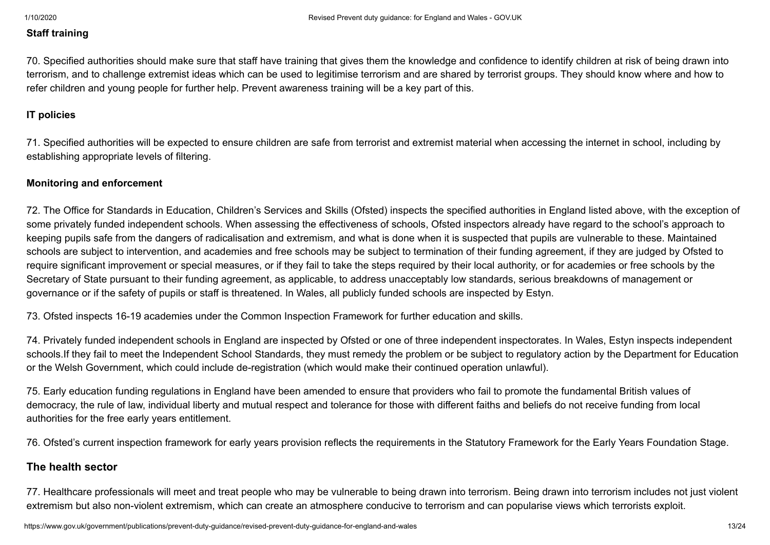### **Staff training**

70. Specified authorities should make sure that staff have training that gives them the knowledge and confidence to identify children at risk of being drawn into terrorism, and to challenge extremist ideas which can be used to legitimise terrorism and are shared by terrorist groups. They should know where and how to refer children and young people for further help. Prevent awareness training will be a key part of this.

#### **IT policies**

71. Specified authorities will be expected to ensure children are safe from terrorist and extremist material when accessing the internet in school, including by establishing appropriate levels of filtering.

#### **Monitoring and enforcement**

72. The Office for Standards in Education, Children's Services and Skills (Ofsted) inspects the specified authorities in England listed above, with the exception of some privately funded independent schools. When assessing the effectiveness of schools, Ofsted inspectors already have regard to the school's approach to keeping pupils safe from the dangers of radicalisation and extremism, and what is done when it is suspected that pupils are vulnerable to these. Maintained schools are subject to intervention, and academies and free schools may be subject to termination of their funding agreement, if they are judged by Ofsted to require significant improvement or special measures, or if they fail to take the steps required by their local authority, or for academies or free schools by the Secretary of State pursuant to their funding agreement, as applicable, to address unacceptably low standards, serious breakdowns of management or governance or if the safety of pupils or staff is threatened. In Wales, all publicly funded schools are inspected by Estyn.

73. Ofsted inspects 16-19 academies under the Common Inspection Framework for further education and skills.

74. Privately funded independent schools in England are inspected by Ofsted or one of three independent inspectorates. In Wales, Estyn inspects independent schools.If they fail to meet the Independent School Standards, they must remedy the problem or be subject to regulatory action by the Department for Education or the Welsh Government, which could include de-registration (which would make their continued operation unlawful).

75. Early education funding regulations in England have been amended to ensure that providers who fail to promote the fundamental British values of democracy, the rule of law, individual liberty and mutual respect and tolerance for those with different faiths and beliefs do not receive funding from local authorities for the free early years entitlement.

76. Ofsted's current inspection framework for early years provision reflects the requirements in the Statutory Framework for the Early Years Foundation Stage.

#### **The health sector**

77. Healthcare professionals will meet and treat people who may be vulnerable to being drawn into terrorism. Being drawn into terrorism includes not just violent extremism but also non-violent extremism, which can create an atmosphere conducive to terrorism and can popularise views which terrorists exploit.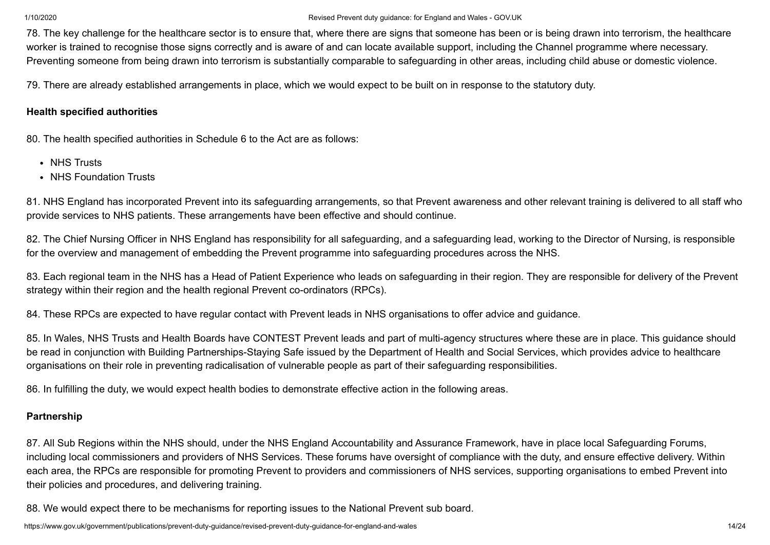78. The key challenge for the healthcare sector is to ensure that, where there are signs that someone has been or is being drawn into terrorism, the healthcare worker is trained to recognise those signs correctly and is aware of and can locate available support, including the Channel programme where necessary. Preventing someone from being drawn into terrorism is substantially comparable to safeguarding in other areas, including child abuse or domestic violence.

79. There are already established arrangements in place, which we would expect to be built on in response to the statutory duty.

# **Health specified authorities**

80. The health specified authorities in Schedule 6 to the Act are as follows:

- NHS Trusts
- NHS Foundation Trusts

81. NHS England has incorporated Prevent into its safeguarding arrangements, so that Prevent awareness and other relevant training is delivered to all staff who provide services to NHS patients. These arrangements have been effective and should continue.

82. The Chief Nursing Officer in NHS England has responsibility for all safeguarding, and a safeguarding lead, working to the Director of Nursing, is responsible for the overview and management of embedding the Prevent programme into safeguarding procedures across the NHS.

83. Each regional team in the NHS has a Head of Patient Experience who leads on safeguarding in their region. They are responsible for delivery of the Prevent strategy within their region and the health regional Prevent co-ordinators (RPCs).

84. These RPCs are expected to have regular contact with Prevent leads in NHS organisations to offer advice and guidance.

85. In Wales, NHS Trusts and Health Boards have CONTEST Prevent leads and part of multi-agency structures where these are in place. This guidance should be read in conjunction with Building Partnerships-Staying Safe issued by the Department of Health and Social Services, which provides advice to healthcare organisations on their role in preventing radicalisation of vulnerable people as part of their safeguarding responsibilities.

86. In fulfilling the duty, we would expect health bodies to demonstrate effective action in the following areas.

# **Partnership**

87. All Sub Regions within the NHS should, under the NHS England Accountability and Assurance Framework, have in place local Safeguarding Forums, including local commissioners and providers of NHS Services. These forums have oversight of compliance with the duty, and ensure effective delivery. Within each area, the RPCs are responsible for promoting Prevent to providers and commissioners of NHS services, supporting organisations to embed Prevent into their policies and procedures, and delivering training.

88. We would expect there to be mechanisms for reporting issues to the National Prevent sub board.

https://www.gov.uk/government/publications/prevent-duty-quidance/revised-prevent-duty-quidance-for-england-and-wales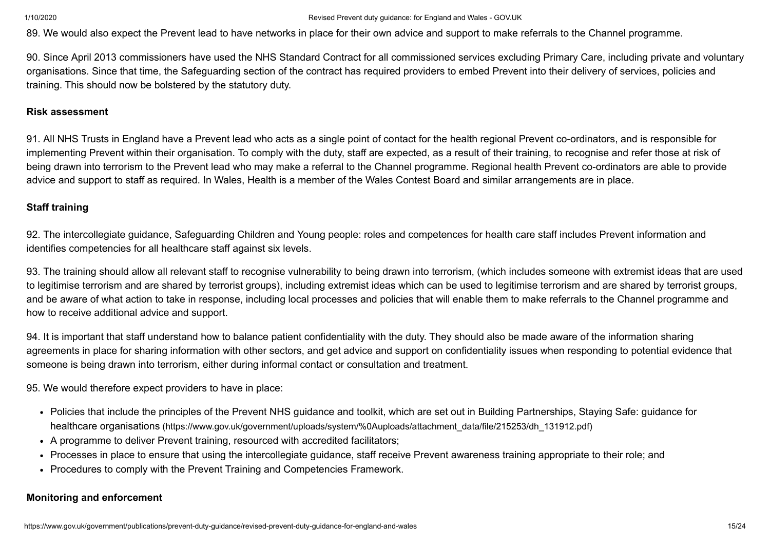89. We would also expect the Prevent lead to have networks in place for their own advice and support to make referrals to the Channel programme.

90. Since April 2013 commissioners have used the NHS Standard Contract for all commissioned services excluding Primary Care, including private and voluntary organisations. Since that time, the Safeguarding section of the contract has required providers to embed Prevent into their delivery of services, policies and training. This should now be bolstered by the statutory duty.

#### **Risk assessment**

91. All NHS Trusts in England have a Prevent lead who acts as a single point of contact for the health regional Prevent co-ordinators, and is responsible for implementing Prevent within their organisation. To comply with the duty, staff are expected, as a result of their training, to recognise and refer those at risk of being drawn into terrorism to the Prevent lead who may make a referral to the Channel programme. Regional health Prevent co-ordinators are able to provide advice and support to staff as required. In Wales, Health is a member of the Wales Contest Board and similar arrangements are in place.

### **Staff training**

92. The intercollegiate guidance, Safeguarding Children and Young people: roles and competences for health care staff includes Prevent information and identifies competencies for all healthcare staff against six levels.

93. The training should allow all relevant staff to recognise vulnerability to being drawn into terrorism, (which includes someone with extremist ideas that are used to legitimise terrorism and are shared by terrorist groups), including extremist ideas which can be used to legitimise terrorism and are shared by terrorist groups, and be aware of what action to take in response, including local processes and policies that will enable them to make referrals to the Channel programme and how to receive additional advice and support.

94. It is important that staff understand how to balance patient confidentiality with the duty. They should also be made aware of the information sharing agreements in place for sharing information with other sectors, and get advice and support on confidentiality issues when responding to potential evidence that someone is being drawn into terrorism, either during informal contact or consultation and treatment.

95. We would therefore expect providers to have in place:

- Policies that include the principles of the Prevent NHS guidance and toolkit, which are set out in Building Partnerships, Staying Safe: guidance for healthcare organisations [\(https://www.gov.uk/government/uploads/system/%0Auploads/attachment\\_data/file/215253/dh\\_131912.pdf\)](https://www.gov.uk/government/uploads/system/%0Auploads/attachment_data/file/215253/dh_131912.pdf)
- A programme to deliver Prevent training, resourced with accredited facilitators;
- Processes in place to ensure that using the intercollegiate guidance, staff receive Prevent awareness training appropriate to their role; and
- Procedures to comply with the Prevent Training and Competencies Framework.

# **Monitoring and enforcement**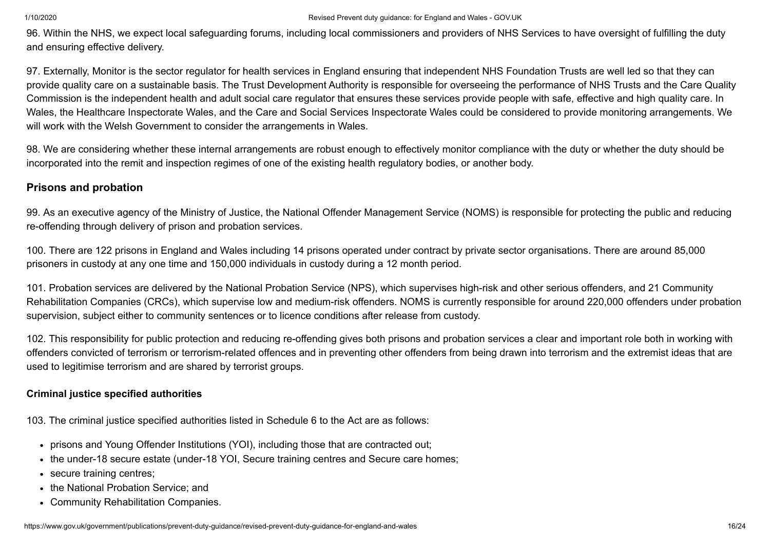96. Within the NHS, we expect local safeguarding forums, including local commissioners and providers of NHS Services to have oversight of fulfilling the duty and ensuring effective delivery.

97. Externally, Monitor is the sector regulator for health services in England ensuring that independent NHS Foundation Trusts are well led so that they can provide quality care on a sustainable basis. The Trust Development Authority is responsible for overseeing the performance of NHS Trusts and the Care Quality Commission is the independent health and adult social care regulator that ensures these services provide people with safe, effective and high quality care. In Wales, the Healthcare Inspectorate Wales, and the Care and Social Services Inspectorate Wales could be considered to provide monitoring arrangements. We will work with the Welsh Government to consider the arrangements in Wales.

98. We are considering whether these internal arrangements are robust enough to effectively monitor compliance with the duty or whether the duty should be incorporated into the remit and inspection regimes of one of the existing health regulatory bodies, or another body.

# **Prisons and probation**

99. As an executive agency of the Ministry of Justice, the National Offender Management Service (NOMS) is responsible for protecting the public and reducing re-offending through delivery of prison and probation services.

100. There are 122 prisons in England and Wales including 14 prisons operated under contract by private sector organisations. There are around 85,000 prisoners in custody at any one time and 150,000 individuals in custody during a 12 month period.

101. Probation services are delivered by the National Probation Service (NPS), which supervises high-risk and other serious offenders, and 21 Community Rehabilitation Companies (CRCs), which supervise low and medium-risk offenders. NOMS is currently responsible for around 220,000 offenders under probation supervision, subject either to community sentences or to licence conditions after release from custody.

102. This responsibility for public protection and reducing re-offending gives both prisons and probation services a clear and important role both in working with offenders convicted of terrorism or terrorism-related offences and in preventing other offenders from being drawn into terrorism and the extremist ideas that are used to legitimise terrorism and are shared by terrorist groups.

#### **Criminal justice specified authorities**

103. The criminal justice specified authorities listed in Schedule 6 to the Act are as follows:

- prisons and Young Offender Institutions (YOI), including those that are contracted out;
- the under-18 secure estate (under-18 YOI, Secure training centres and Secure care homes;
- secure training centres;
- the National Probation Service; and
- Community Rehabilitation Companies.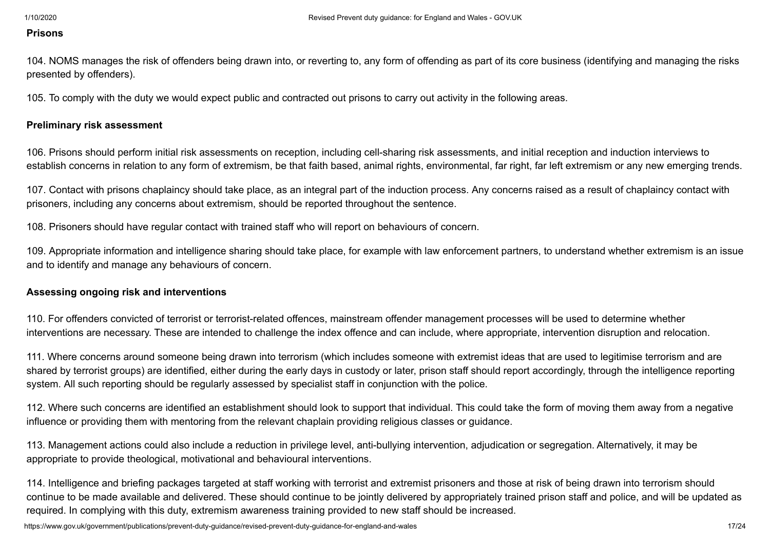#### **Prisons**

104. NOMS manages the risk of offenders being drawn into, or reverting to, any form of offending as part of its core business (identifying and managing the risks presented by offenders).

105. To comply with the duty we would expect public and contracted out prisons to carry out activity in the following areas.

#### **Preliminary risk assessment**

106. Prisons should perform initial risk assessments on reception, including cell-sharing risk assessments, and initial reception and induction interviews to establish concerns in relation to any form of extremism, be that faith based, animal rights, environmental, far right, far left extremism or any new emerging trends.

107. Contact with prisons chaplaincy should take place, as an integral part of the induction process. Any concerns raised as a result of chaplaincy contact with prisoners, including any concerns about extremism, should be reported throughout the sentence.

108. Prisoners should have regular contact with trained staff who will report on behaviours of concern.

109. Appropriate information and intelligence sharing should take place, for example with law enforcement partners, to understand whether extremism is an issue and to identify and manage any behaviours of concern.

#### **Assessing ongoing risk and interventions**

110. For offenders convicted of terrorist or terrorist-related offences, mainstream offender management processes will be used to determine whether interventions are necessary. These are intended to challenge the index offence and can include, where appropriate, intervention disruption and relocation.

111. Where concerns around someone being drawn into terrorism (which includes someone with extremist ideas that are used to legitimise terrorism and are shared by terrorist groups) are identified, either during the early days in custody or later, prison staff should report accordingly, through the intelligence reporting system. All such reporting should be regularly assessed by specialist staff in conjunction with the police.

112. Where such concerns are identified an establishment should look to support that individual. This could take the form of moving them away from a negative influence or providing them with mentoring from the relevant chaplain providing religious classes or guidance.

113. Management actions could also include a reduction in privilege level, anti-bullying intervention, adjudication or segregation. Alternatively, it may be appropriate to provide theological, motivational and behavioural interventions.

114. Intelligence and briefing packages targeted at staff working with terrorist and extremist prisoners and those at risk of being drawn into terrorism should continue to be made available and delivered. These should continue to be jointly delivered by appropriately trained prison staff and police, and will be updated as required. In complying with this duty, extremism awareness training provided to new staff should be increased.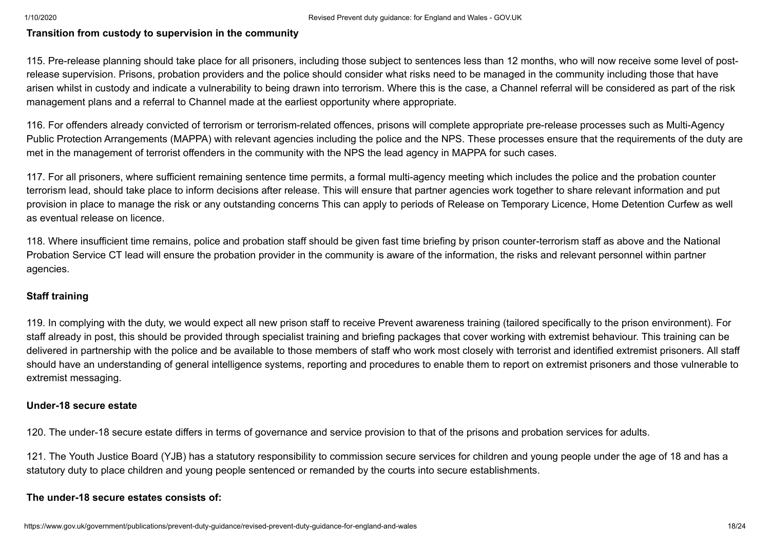### **Transition from custody to supervision in the community**

115. Pre-release planning should take place for all prisoners, including those subject to sentences less than 12 months, who will now receive some level of postrelease supervision. Prisons, probation providers and the police should consider what risks need to be managed in the community including those that have arisen whilst in custody and indicate a vulnerability to being drawn into terrorism. Where this is the case, a Channel referral will be considered as part of the risk management plans and a referral to Channel made at the earliest opportunity where appropriate.

116. For offenders already convicted of terrorism or terrorism-related offences, prisons will complete appropriate pre-release processes such as Multi-Agency Public Protection Arrangements (MAPPA) with relevant agencies including the police and the NPS. These processes ensure that the requirements of the duty are met in the management of terrorist offenders in the community with the NPS the lead agency in MAPPA for such cases.

117. For all prisoners, where sufficient remaining sentence time permits, a formal multi-agency meeting which includes the police and the probation counter terrorism lead, should take place to inform decisions after release. This will ensure that partner agencies work together to share relevant information and put provision in place to manage the risk or any outstanding concerns This can apply to periods of Release on Temporary Licence, Home Detention Curfew as well as eventual release on licence.

118. Where insufficient time remains, police and probation staff should be given fast time briefing by prison counter-terrorism staff as above and the National Probation Service CT lead will ensure the probation provider in the community is aware of the information, the risks and relevant personnel within partner agencies.

#### **Staff training**

119. In complying with the duty, we would expect all new prison staff to receive Prevent awareness training (tailored specifically to the prison environment). For staff already in post, this should be provided through specialist training and briefing packages that cover working with extremist behaviour. This training can be delivered in partnership with the police and be available to those members of staff who work most closely with terrorist and identified extremist prisoners. All staff should have an understanding of general intelligence systems, reporting and procedures to enable them to report on extremist prisoners and those vulnerable to extremist messaging.

#### **Under-18 secure estate**

120. The under-18 secure estate differs in terms of governance and service provision to that of the prisons and probation services for adults.

121. The Youth Justice Board (YJB) has a statutory responsibility to commission secure services for children and young people under the age of 18 and has a statutory duty to place children and young people sentenced or remanded by the courts into secure establishments.

# **The under-18 secure estates consists of:**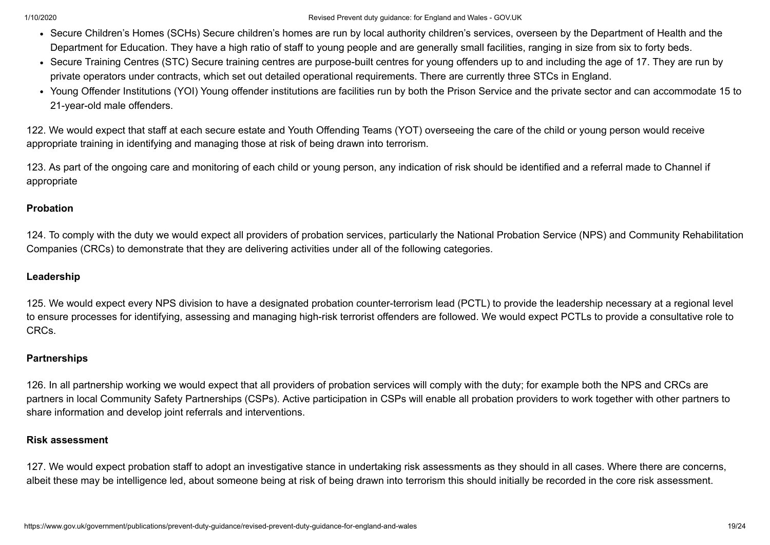- Secure Children's Homes (SCHs) Secure children's homes are run by local authority children's services, overseen by the Department of Health and the Department for Education. They have a high ratio of staff to young people and are generally small facilities, ranging in size from six to forty beds.
- Secure Training Centres (STC) Secure training centres are purpose-built centres for young offenders up to and including the age of 17. They are run by private operators under contracts, which set out detailed operational requirements. There are currently three STCs in England.
- Young Offender Institutions (YOI) Young offender institutions are facilities run by both the Prison Service and the private sector and can accommodate 15 to 21-year-old male offenders.

122. We would expect that staff at each secure estate and Youth Offending Teams (YOT) overseeing the care of the child or young person would receive appropriate training in identifying and managing those at risk of being drawn into terrorism.

123. As part of the ongoing care and monitoring of each child or young person, any indication of risk should be identified and a referral made to Channel if appropriate

### **Probation**

124. To comply with the duty we would expect all providers of probation services, particularly the National Probation Service (NPS) and Community Rehabilitation Companies (CRCs) to demonstrate that they are delivering activities under all of the following categories.

# **Leadership**

125. We would expect every NPS division to have a designated probation counter-terrorism lead (PCTL) to provide the leadership necessary at a regional level to ensure processes for identifying, assessing and managing high-risk terrorist offenders are followed. We would expect PCTLs to provide a consultative role to CRCs.

# **Partnerships**

126. In all partnership working we would expect that all providers of probation services will comply with the duty; for example both the NPS and CRCs are partners in local Community Safety Partnerships (CSPs). Active participation in CSPs will enable all probation providers to work together with other partners to share information and develop joint referrals and interventions.

#### **Risk assessment**

127. We would expect probation staff to adopt an investigative stance in undertaking risk assessments as they should in all cases. Where there are concerns, albeit these may be intelligence led, about someone being at risk of being drawn into terrorism this should initially be recorded in the core risk assessment.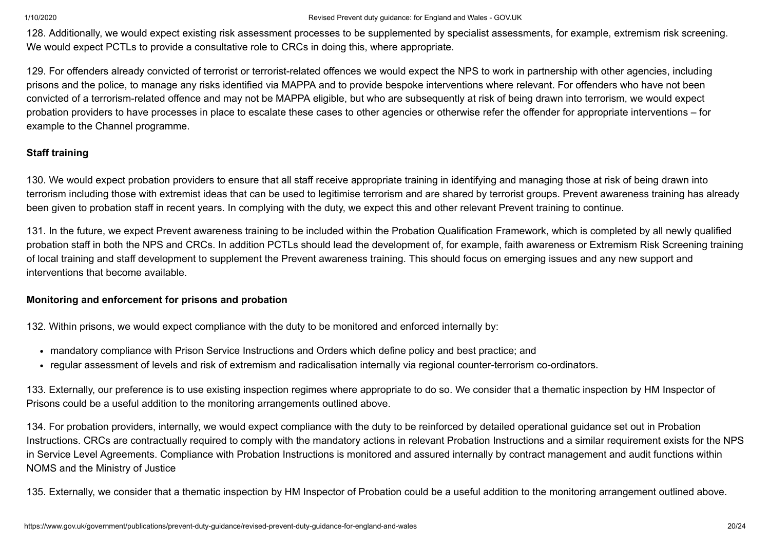128. Additionally, we would expect existing risk assessment processes to be supplemented by specialist assessments, for example, extremism risk screening. We would expect PCTLs to provide a consultative role to CRCs in doing this, where appropriate.

129. For offenders already convicted of terrorist or terrorist-related offences we would expect the NPS to work in partnership with other agencies, including prisons and the police, to manage any risks identified via MAPPA and to provide bespoke interventions where relevant. For offenders who have not been convicted of a terrorism-related offence and may not be MAPPA eligible, but who are subsequently at risk of being drawn into terrorism, we would expect probation providers to have processes in place to escalate these cases to other agencies or otherwise refer the offender for appropriate interventions – for example to the Channel programme.

# **Staff training**

130. We would expect probation providers to ensure that all staff receive appropriate training in identifying and managing those at risk of being drawn into terrorism including those with extremist ideas that can be used to legitimise terrorism and are shared by terrorist groups. Prevent awareness training has already been given to probation staff in recent years. In complying with the duty, we expect this and other relevant Prevent training to continue.

131. In the future, we expect Prevent awareness training to be included within the Probation Qualification Framework, which is completed by all newly qualified probation staff in both the NPS and CRCs. In addition PCTLs should lead the development of, for example, faith awareness or Extremism Risk Screening training of local training and staff development to supplement the Prevent awareness training. This should focus on emerging issues and any new support and interventions that become available.

# **Monitoring and enforcement for prisons and probation**

132. Within prisons, we would expect compliance with the duty to be monitored and enforced internally by:

- mandatory compliance with Prison Service Instructions and Orders which define policy and best practice; and
- regular assessment of levels and risk of extremism and radicalisation internally via regional counter-terrorism co-ordinators.

133. Externally, our preference is to use existing inspection regimes where appropriate to do so. We consider that a thematic inspection by HM Inspector of Prisons could be a useful addition to the monitoring arrangements outlined above.

134. For probation providers, internally, we would expect compliance with the duty to be reinforced by detailed operational guidance set out in Probation Instructions. CRCs are contractually required to comply with the mandatory actions in relevant Probation Instructions and a similar requirement exists for the NPS in Service Level Agreements. Compliance with Probation Instructions is monitored and assured internally by contract management and audit functions within NOMS and the Ministry of Justice

135. Externally, we consider that a thematic inspection by HM Inspector of Probation could be a useful addition to the monitoring arrangement outlined above.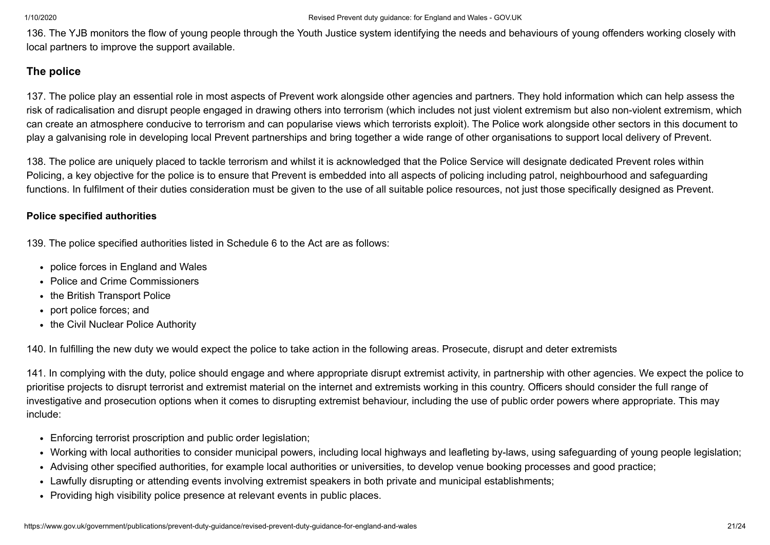136. The YJB monitors the flow of young people through the Youth Justice system identifying the needs and behaviours of young offenders working closely with local partners to improve the support available.

# **The police**

137. The police play an essential role in most aspects of Prevent work alongside other agencies and partners. They hold information which can help assess the risk of radicalisation and disrupt people engaged in drawing others into terrorism (which includes not just violent extremism but also non-violent extremism, which can create an atmosphere conducive to terrorism and can popularise views which terrorists exploit). The Police work alongside other sectors in this document to play a galvanising role in developing local Prevent partnerships and bring together a wide range of other organisations to support local delivery of Prevent.

138. The police are uniquely placed to tackle terrorism and whilst it is acknowledged that the Police Service will designate dedicated Prevent roles within Policing, a key objective for the police is to ensure that Prevent is embedded into all aspects of policing including patrol, neighbourhood and safeguarding functions. In fulfilment of their duties consideration must be given to the use of all suitable police resources, not just those specifically designed as Prevent.

# **Police specified authorities**

139. The police specified authorities listed in Schedule 6 to the Act are as follows:

- police forces in England and Wales
- Police and Crime Commissioners
- the British Transport Police
- port police forces; and
- the Civil Nuclear Police Authority

140. In fulfilling the new duty we would expect the police to take action in the following areas. Prosecute, disrupt and deter extremists

141. In complying with the duty, police should engage and where appropriate disrupt extremist activity, in partnership with other agencies. We expect the police to prioritise projects to disrupt terrorist and extremist material on the internet and extremists working in this country. Officers should consider the full range of investigative and prosecution options when it comes to disrupting extremist behaviour, including the use of public order powers where appropriate. This may include:

- Enforcing terrorist proscription and public order legislation;
- Working with local authorities to consider municipal powers, including local highways and leafleting by-laws, using safeguarding of young people legislation;
- Advising other specified authorities, for example local authorities or universities, to develop venue booking processes and good practice;
- Lawfully disrupting or attending events involving extremist speakers in both private and municipal establishments;
- Providing high visibility police presence at relevant events in public places.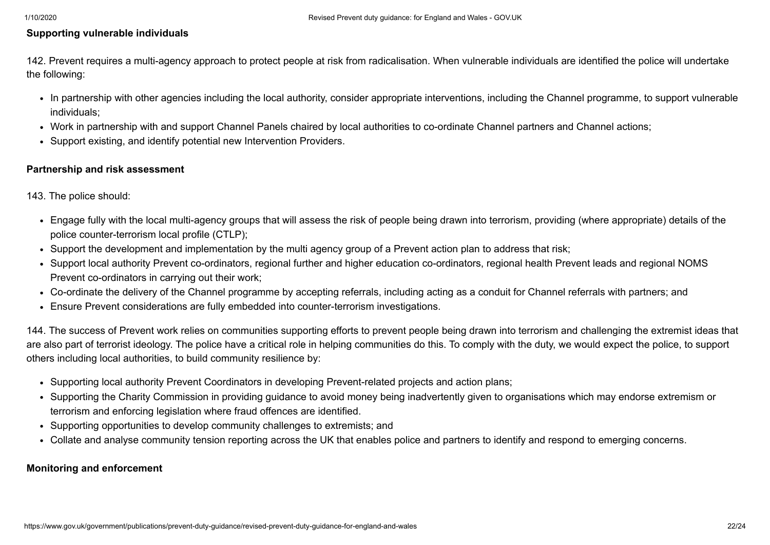#### **Supporting vulnerable individuals**

142. Prevent requires a multi-agency approach to protect people at risk from radicalisation. When vulnerable individuals are identified the police will undertake the following:

- In partnership with other agencies including the local authority, consider appropriate interventions, including the Channel programme, to support vulnerable individuals;
- Work in partnership with and support Channel Panels chaired by local authorities to co-ordinate Channel partners and Channel actions;
- Support existing, and identify potential new Intervention Providers.

#### **Partnership and risk assessment**

143. The police should:

- Engage fully with the local multi-agency groups that will assess the risk of people being drawn into terrorism, providing (where appropriate) details of the police counter-terrorism local profile (CTLP);
- Support the development and implementation by the multi agency group of a Prevent action plan to address that risk;
- Support local authority Prevent co-ordinators, regional further and higher education co-ordinators, regional health Prevent leads and regional NOMS Prevent co-ordinators in carrying out their work;
- Co-ordinate the delivery of the Channel programme by accepting referrals, including acting as a conduit for Channel referrals with partners; and
- Ensure Prevent considerations are fully embedded into counter-terrorism investigations.

144. The success of Prevent work relies on communities supporting efforts to prevent people being drawn into terrorism and challenging the extremist ideas that are also part of terrorist ideology. The police have a critical role in helping communities do this. To comply with the duty, we would expect the police, to support others including local authorities, to build community resilience by:

- Supporting local authority Prevent Coordinators in developing Prevent-related projects and action plans;
- Supporting the Charity Commission in providing guidance to avoid money being inadvertently given to organisations which may endorse extremism or terrorism and enforcing legislation where fraud offences are identified.
- Supporting opportunities to develop community challenges to extremists; and
- Collate and analyse community tension reporting across the UK that enables police and partners to identify and respond to emerging concerns.

#### **Monitoring and enforcement**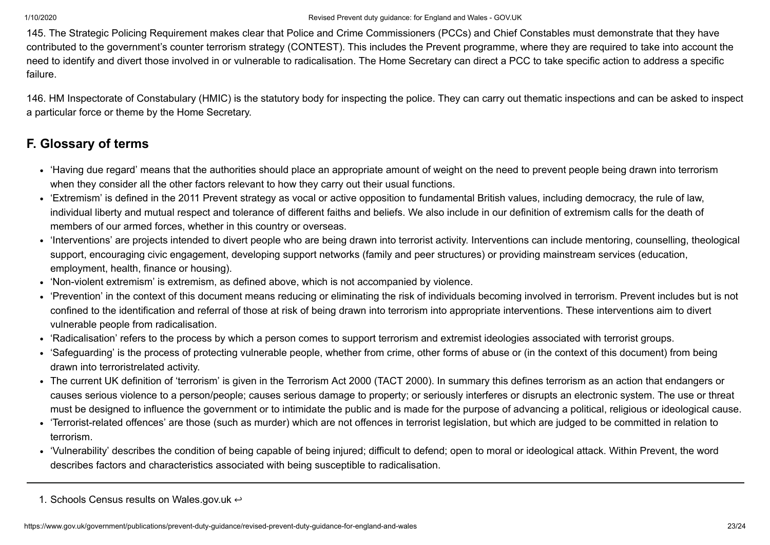145. The Strategic Policing Requirement makes clear that Police and Crime Commissioners (PCCs) and Chief Constables must demonstrate that they have contributed to the government's counter terrorism strategy (CONTEST). This includes the Prevent programme, where they are required to take into account the need to identify and divert those involved in or vulnerable to radicalisation. The Home Secretary can direct a PCC to take specific action to address a specific failure.

146. HM Inspectorate of Constabulary (HMIC) is the statutory body for inspecting the police. They can carry out thematic inspections and can be asked to inspect a particular force or theme by the Home Secretary.

# **F. Glossary of terms**

- 'Having due regard' means that the authorities should place an appropriate amount of weight on the need to prevent people being drawn into terrorism when they consider all the other factors relevant to how they carry out their usual functions.
- 'Extremism' is defined in the 2011 Prevent strategy as vocal or active opposition to fundamental British values, including democracy, the rule of law, individual liberty and mutual respect and tolerance of different faiths and beliefs. We also include in our definition of extremism calls for the death of members of our armed forces, whether in this country or overseas.
- 'Interventions' are projects intended to divert people who are being drawn into terrorist activity. Interventions can include mentoring, counselling, theological support, encouraging civic engagement, developing support networks (family and peer structures) or providing mainstream services (education, employment, health, finance or housing).
- 'Non-violent extremism' is extremism, as defined above, which is not accompanied by violence.
- 'Prevention' in the context of this document means reducing or eliminating the risk of individuals becoming involved in terrorism. Prevent includes but is not confined to the identification and referral of those at risk of being drawn into terrorism into appropriate interventions. These interventions aim to divert vulnerable people from radicalisation.
- 'Radicalisation' refers to the process by which a person comes to support terrorism and extremist ideologies associated with terrorist groups.
- 'Safeguarding' is the process of protecting vulnerable people, whether from crime, other forms of abuse or (in the context of this document) from being drawn into terroristrelated activity.
- The current UK definition of 'terrorism' is given in the Terrorism Act 2000 (TACT 2000). In summary this defines terrorism as an action that endangers or causes serious violence to a person/people; causes serious damage to property; or seriously interferes or disrupts an electronic system. The use or threat must be designed to influence the government or to intimidate the public and is made for the purpose of advancing a political, religious or ideological cause.
- 'Terrorist-related offences' are those (such as murder) which are not offences in terrorist legislation, but which are judged to be committed in relation to terrorism.
- 'Vulnerability' describes the condition of being capable of being injured; difficult to defend; open to moral or ideological attack. Within Prevent, the word describes factors and characteristics associated with being susceptible to radicalisation.

<span id="page-22-0"></span><sup>1.</sup> Schools Census results on Wales.gov.uk  $\leftrightarrow$